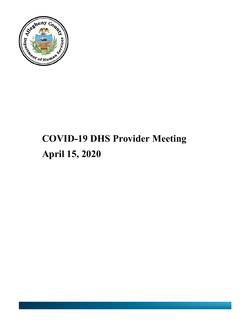

# **COVID-19 DHS Provider Meeting April 15, 2020**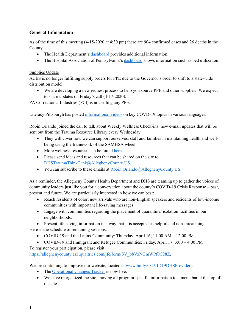## **General Information**

As of the time of this meeting (4-15-2020 at 4:30 pm) there are 904 confirmed cases and 26 deaths in the County.

- The Health Department's [dashboard](https://tableau.alleghenycounty.us/t/PublicSite/views/COVID-19AlleghenyCounty/COVID-19?iframeSizedToWindow=true&:embed=y&:showAppBanner=false&:display_count=no&:showVizHome=no&:origin=viz_share_link) provides additional information.
- The Hospital Association of Pennsylvania's [dashboard](https://public.tableau.com/profile/hap.research#!/vizhome/EEIRegion/EEIRegion) shows information such as bed utilization.

#### Supplies Update

ACES is no longer fulfilling supply orders for PPE due to the Governor's order to shift to a state-wide distribution model.

• We are developing a new request process to help you source PPE and other supplies. We expect to share updates on Friday's call (4-17-2020).

PA Correctional Industries (PCI) is not selling any PPE.

Literacy Pittsburgh has posted [informational videos](https://www.youtube.com/channel/UCJY1eDz_VKAMkLYuhTDBovA/videos?view=0&sort=dd&flow=grid) on key COVD-19 topics in various languages.

Robin Orlando joined the call to talk about Weekly Wellness Check-ins: new e-mail updates that will be sent out from the Trauma Resource Library every Wednesday.

- They will cover how we can support ourselves, staff and families in maintaining health and wellbeing using the framework of the SAMHSA wheel.
- More wellness resources can be found [here.](http://dhstraumaresourcelibrary.alleghenycounty.us/wellness/)
- Please send ideas and resources that can be shared on the site to [DHSTraumaThinkTank@AlleghenyCounty.US.](mailto:DHSTraumaThinkTank@AlleghenyCounty.US)
- You can subscribe to these emails at [Robin.Orlando@AlleghenyCounty.US.](mailto:Robin.Orlando@AlleghenyCounty.US)

As a reminder, the Allegheny County Health Department and DHS are teaming up to gather the voices of community leaders just like you for a conversation about the county's COVID-19 Crisis Response – past, present and future. We are particularly interested in how we can best:

- Reach residents of color, new arrivals who are non-English speakers and residents of low-income communities with important life-saving messages.
- Engage with communities regarding the placement of quarantine/ isolation facilities in our neighborhoods.

• Present life-saving information in a way that it is accepted as helpful and non-threatening. Here is the schedule of remaining sessions:

- COVID-19 and the Latinx Community: Thursday, April 16; 11:00 AM 12:00 PM
- COVID-19 and Immigrant and Refugee Communities: Friday, April 17; 3:00 4:00 PM

To register your participation, please visit: [https://alleghenycounty.az1.qualtrics.com/jfe/form/SV\\_b8VzNGmWPf0C28Z.](https://alleghenycounty.az1.qualtrics.com/jfe/form/SV_b8VzNGmWPf0C28Z)

We are continuing to improve our website, located at [www.bit.ly/COVID19DHSProviders.](http://www.bit.ly/COVID19DHSProviders)

- The [Operational Changes Tracker](https://tableau.alleghenycounty.us/t/PublicSite/views/AlleghenyCountyHumanServicesOperationalChangesTracker/LandingPage?iframeSizedToWindow=true&%3Aembed=y&%3AshowAppBanner=false&%3Adisplay_count=no&%3AshowVizHome=no&%3Aorigin=viz_share_link#1) is now live.
- We have reorganized the site, moving all program-specific information to a menu bar at the top of the site.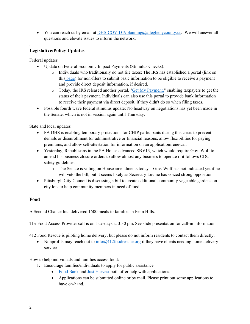• You can reach us by email at [DHS-COVID19planning@alleghenycounty.us.](mailto:DHS-COVID19planning@alleghenycounty.us) We will answer all questions and elevate issues to inform the network.

# **Legislative/Policy Updates**

Federal updates

.

- Update on Federal Economic Impact Payments (Stimulus Checks):
	- o Individuals who traditionally do not file taxes: The IRS has established a portal (link on this [page\)](https://www.irs.gov/coronavirus/non-filers-enter-payment-info-here) for non-filers to submit basic information to be eligible to receive a payment and provide direct deposit information, if desired.
	- o Today, the IRS released another portal, ["Get My Payment,](https://www.irs.gov/coronavirus/get-my-payment)" enabling taxpayers to get the status of their payment. Individuals can also use this portal to provide bank information to receive their payment via direct deposit, if they didn't do so when filing taxes.
- Possible fourth wave federal stimulus update: No headway on negotiations has yet been made in the Senate, which is not in session again until Thursday.

State and local updates

- PA DHS is enabling temporary protections for CHIP participants during this crisis to prevent denials or disenrollment for administrative or financial reasons, allow flexibilities for paying premiums, and allow self-attestation for information on an application/renewal.
- Yesterday, Republicans in the PA House advanced SB 613, which would require Gov. Wolf to amend his business closure orders to allow almost any business to operate if it follows CDC safety guidelines.
	- o The Senate is voting on House amendments today Gov. Wolf has not indicated yet if he will veto the bill, but it seems likely as Secretary Levine has voiced strong opposition.
- Pittsburgh City Council is discussing a bill to create additional community vegetable gardens on city lots to help community members in need of food.

## **Food**

A Second Chance Inc. delivered 1500 meals to families in Penn Hills.

The Food Access Provider call is on Tuesdays at 3:30 pm. See slide presentation for call-in information.

412 Food Rescue is piloting home delivery, but please do not inform residents to contact them directly.

• Nonprofits may reach out to  $info@412foodrescue.org$  if they have clients needing home delivery service.

How to help individuals and families access food:

- 1. Encourage families/individuals to apply for public assistance.
	- [Food Bank](https://www.pittsburghfoodbank.org/what-we-do/resources-to-people/snap/) and [Just Harvest](https://www.justharvest.org/get-help/snap-food-stamps/) both offer help with applications.
	- Applications can be submitted online or by mail. Please print out some applications to have on-hand.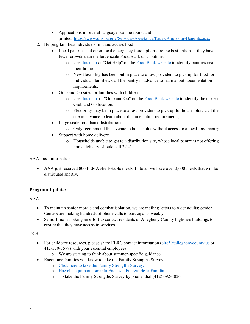- Applications in several languages can be found and printed: <https://www.dhs.pa.gov/Services/Assistance/Pages/Apply-for-Benefits.aspx> .
- 2. Helping families/individuals find and access food
	- Local pantries and other local emergency food options are the best options—they have fewer crowds than the large-scale Food Bank distributions.
		- o Use [this map](https://alcogis.maps.arcgis.com/apps/MapSeries/index.html?appid=abaca148492b47a7ad0d5a71f5d2c5e8) or "Get Help" on the [Food Bank website](https://www.pittsburghfoodbank.org/covid19/) to identify pantries near their home.
		- o New flexibility has been put in place to allow providers to pick up for food for individuals/families. Call the pantry in advance to learn about documentation requirements.
	- Grab and Go sites for families with children
		- o Use [this map o](https://alcogis.maps.arcgis.com/apps/MapSeries/index.html?appid=abaca148492b47a7ad0d5a71f5d2c5e8)r "Grab and Go" on the [Food Bank website](https://www.pittsburghfoodbank.org/covid19/) to identify the closest Grab and Go location.
		- o Flexibility may be in place to allow providers to pick up for households. Call the site in advance to learn about documentation requirements,
	- Large scale food bank distributions
		- o Only recommend this avenue to households without access to a local food pantry.
	- Support with home delivery
		- o Households unable to get to a distribution site, whose local pantry is not offering home delivery, should call 2-1-1.

## AAA food information

• AAA just received 800 FEMA shelf-stable meals. In total, we have over 3,000 meals that will be distributed shortly.

# **Program Updates**

## AAA

- To maintain senior morale and combat isolation, we are mailing letters to older adults; Senior Centers are making hundreds of phone calls to participants weekly.
- SeniorLine is making an effort to contact residents of Allegheny County high-rise buildings to ensure that they have access to services.

## **OCS**

- For childcare resources, please share ELRC contact information ( $e\frac{ln c5}{a}$ alleghenycounty.us or 412-350-3577) with your essential employees.
	- o We are starting to think about summer-specific guidance.
- Encourage families you know to take the Family Strengths Survey.
	- o [Click here to take the Family Strengths Survey.](https://pitt.co1.qualtrics.com/jfe/form/SV_6M8Al93aEwZP26N)
	- o [Haz clic](https://pitt.co1.qualtrics.com/jfe/form/SV_5vZxrMHKJTj4C3z) [aquí](https://pitt.co1.qualtrics.com/jfe/form/SV_5vZxrMHKJTj4C3z) [para tomar](https://pitt.co1.qualtrics.com/jfe/form/SV_5vZxrMHKJTj4C3z) [la Encuesta](https://pitt.co1.qualtrics.com/jfe/form/SV_5vZxrMHKJTj4C3z) [Fuerzas](https://pitt.co1.qualtrics.com/jfe/form/SV_5vZxrMHKJTj4C3z) [de la Familia.](https://pitt.co1.qualtrics.com/jfe/form/SV_5vZxrMHKJTj4C3z)
	- o To take the Family Strengths Survey by phone, dial (412) 692-8026.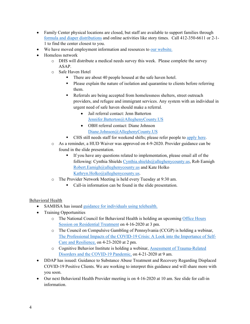- Family Center physical locations are closed, but staff are available to support families through [formula and diaper distributions](https://alcogis.maps.arcgis.com/apps/MapSeries/index.html?appid=abaca148492b47a7ad0d5a71f5d2c5e8) and online activities like story times. Call 412-350-6611 or 2-1- 1 to find the center closest to you.
- We have moved employment information and resources to our [website.](https://bit.ly/COVID19DHSProviders)
- Homeless network
	- o DHS will distribute a medical needs survey this week. Please complete the survey ASAP.
	- o Safe Haven Hotel
		- There are about 40 people housed at the safe haven hotel.
		- Please explain the nature of isolation and quarantine to clients before referring them.
		- Referrals are being accepted from homelessness shelters, street outreach providers, and refugee and immigrant services. Any system with an individual in urgent need of safe haven should make a referral.
			- Jail referral contact: Jenn Batterton [Jennifer.Batterton@AlleghenyCounty.US](mailto:Jennifer.Batterton@AlleghenyCounty.US)
			- OBH referral contact: Diane Johnson [Diane.Johnson@AlleghenyCounty.US](mailto:Diane.Johnson@AlleghenyCounty.US)
		- CHS still needs staff for weekend shifts; please refer people to [apply here.](https://communityhumanservices.applytojob.com/apply/HCMAiP6kQv/Community-Support-Specialist-Hotel-2020)
	- o As a reminder, a HUD Waiver was approved on 4-9-2020. Provider guidance can be found in the slide presentation.
		- If you have any questions related to implementation, please email all of the following: Cynthia Shields [Cynthia.shields@alleghenycounty.us,](mailto:Cynthia.shields@alleghenycounty.us) Rob Eamigh [Robert.Eamigh@alleghenycounty.us](mailto:Robert.Eamigh@alleghenycounty.us) and Kate Holko [Kathryn.Holko@alleghenycounty.us.](mailto:Kathryn.Holko@alleghenycounty.us)
	- o The Provider Network Meeting is held every Tuesday at 9:30 am.
		- Call-in information can be found in the slide presentation.

#### Behavioral Health

- SAMHSA has issued [guidance for individuals using telehealth.](https://smiadviser.org/wp-content/uploads/2020/04/How-to-Prepare-for-a-Video-Appointment.pdf)
- Training Opportunities
	- o The National Council for Behavioral Health is holding an upcoming [Office Hours](https://gcc01.safelinks.protection.outlook.com/?url=https%3A%2F%2Fzoom.us%2Fwebinar%2Fregister%2FWN_ORiwdq6LTe2m79SQUoogNw%3Fmkt_tok%3DeyJpIjoiWVdNd01qTTFNakJsTnpKaCIsInQiOiI3QytTMjVuaGtwT2xMamVpN2gyRkhwTDNSZXl4UWRxbFJrWCtmOVwvRXhhS045akttazZsY0ZCejhtRktcL1FuSVVDaGplaDBLeGNcLytvSHg0ellqU1B1aG1wSjBaSFZZQk9OSFI0K1pkMDFOMnEyazlySm80YnpHSWxNam1USExiWiJ9&data=02%7C01%7Clatika.davis-jones%40ALLEGHENYCOUNTY.US%7C1c63742ed5b14966aa0008d7e07be48a%7Ce0273d12e4cb4eb19f708bba16fb968d%7C0%7C0%7C637224695033135259&sdata=sJHlJMTjGjYB%2F6sHibdn5AQ3mjnMD43Jl9bdfQdK21E%3D&reserved=0)  [Session on Residential Treatment](https://gcc01.safelinks.protection.outlook.com/?url=https%3A%2F%2Fzoom.us%2Fwebinar%2Fregister%2FWN_ORiwdq6LTe2m79SQUoogNw%3Fmkt_tok%3DeyJpIjoiWVdNd01qTTFNakJsTnpKaCIsInQiOiI3QytTMjVuaGtwT2xMamVpN2gyRkhwTDNSZXl4UWRxbFJrWCtmOVwvRXhhS045akttazZsY0ZCejhtRktcL1FuSVVDaGplaDBLeGNcLytvSHg0ellqU1B1aG1wSjBaSFZZQk9OSFI0K1pkMDFOMnEyazlySm80YnpHSWxNam1USExiWiJ9&data=02%7C01%7Clatika.davis-jones%40ALLEGHENYCOUNTY.US%7C1c63742ed5b14966aa0008d7e07be48a%7Ce0273d12e4cb4eb19f708bba16fb968d%7C0%7C0%7C637224695033135259&sdata=sJHlJMTjGjYB%2F6sHibdn5AQ3mjnMD43Jl9bdfQdK21E%3D&reserved=0) on 4-16-2020 at 3 pm.
	- o The Council on Compulsive Gambling of Pennsylvania (CCGP) is holding a webinar, [The Professional Impacts of the COVID-19 Crisis: A Look into the Importance of Self-](https://gcc01.safelinks.protection.outlook.com/?url=https%3A%2F%2Fwww.pacouncil.com%2Fevents%2Fccgp-200423%2F&data=02%7C01%7Clatika.davis-jones%40ALLEGHENYCOUNTY.US%7C11bec0398d3649bec2c708d7dfe8ba01%7Ce0273d12e4cb4eb19f708bba16fb968d%7C0%7C0%7C637224063508790069&sdata=5DsCS9Ii9SX3BYaPKtTKHVGe9pNkCPJHVewAnssADZA%3D&reserved=0)[Care and Resilience,](https://gcc01.safelinks.protection.outlook.com/?url=https%3A%2F%2Fwww.pacouncil.com%2Fevents%2Fccgp-200423%2F&data=02%7C01%7Clatika.davis-jones%40ALLEGHENYCOUNTY.US%7C11bec0398d3649bec2c708d7dfe8ba01%7Ce0273d12e4cb4eb19f708bba16fb968d%7C0%7C0%7C637224063508790069&sdata=5DsCS9Ii9SX3BYaPKtTKHVGe9pNkCPJHVewAnssADZA%3D&reserved=0) on 4-23-2020 at 2 pm.
	- o Cognitive Behavior Institute is holding a webinar, [Assessment of Trauma-Related](https://gcc01.safelinks.protection.outlook.com/?url=https%3A%2F%2Fwww.cbicenterforeducation.com%2Fevents%2Ftrauma-related-disorders-and-the-covid-19-pandemic&data=02%7C01%7Clatika.davis-jones%40ALLEGHENYCOUNTY.US%7C11bec0398d3649bec2c708d7dfe8ba01%7Ce0273d12e4cb4eb19f708bba16fb968d%7C0%7C0%7C637224063508800066&sdata=yxCk5u829Fwo4B4ULZ1jFlHlazuaGpG3Fe6MOerwwiM%3D&reserved=0)  [Disorders and the COVID-19 Pandemic,](https://gcc01.safelinks.protection.outlook.com/?url=https%3A%2F%2Fwww.cbicenterforeducation.com%2Fevents%2Ftrauma-related-disorders-and-the-covid-19-pandemic&data=02%7C01%7Clatika.davis-jones%40ALLEGHENYCOUNTY.US%7C11bec0398d3649bec2c708d7dfe8ba01%7Ce0273d12e4cb4eb19f708bba16fb968d%7C0%7C0%7C637224063508800066&sdata=yxCk5u829Fwo4B4ULZ1jFlHlazuaGpG3Fe6MOerwwiM%3D&reserved=0) on 4-21-2020 at 9 am.
- DDAP has issued: Guidance to Substance Abuse Treatment and Recovery Regarding Displaced COVID-19 Positive Clients. We are working to interpret this guidance and will share more with you soon.
- Our next Behavioral Health Provider meeting is on 4-16-2020 at 10 am. See slide for call-in information.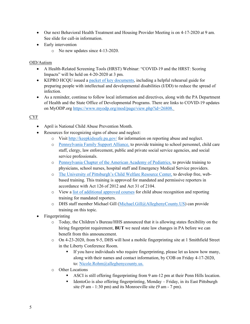- Our next Behavioral Health Treatment and Housing Provider Meeting is on 4-17-2020 at 9 am. See slide for call-in information.
- Early intervention
	- o No new updates since 4-13-2020.

#### OID/Autism

- A Health-Related Screening Tools (HRST) Webinar: "COVID-19 and the HRST: Scoring Impacts" will be held on 4-20-2020 at 3 pm.
- KEPRO HCQU issued a [packet of key documents,](http://dhstraumaresourcelibrary.alleghenycounty.us/wp-content/uploads/2020/04/COVID-19-Packet-2_Apr2020.pdf) including a helpful rehearsal guide for preparing people with intellectual and developmental disabilities (I/DD) to reduce the spread of infection.
- As a reminder, continue to follow local information and directives, along with the PA Department of Health and the State Office of Developmental Programs. There are links to COVID-19 updates on MyODP.org [https://www.myodp.org/mod/page/view.php?id=26808.](https://www.myodp.org/mod/page/view.php?id=26808)

## CYF

- April is National Child Abuse Prevention Month.
- Resources for recognizing signs of abuse and neglect:
	- o Visit<http://keepkidssafe.pa.gov/> for information on reporting abuse and neglect.
	- o [Pennsylvania Family Support Alliance,](http://www.pa-fsa.org/) to provide training to school personnel, child care staff, clergy, law enforcement, public and private social service agencies, and social service professionals.
	- o [Pennsylvania Chapter of the American Academy of Pediatrics,](http://www.paaap.org/) to provide training to physicians, school nurses, hospital staff and Emergency Medical Service providers.
	- o [The University of Pittsburgh's Child Welfare Resource Center,](http://www.reportabusepa.pitt.edu/) to develop free, webbased training. This training is approved for mandated and permissive reporters in accordance with Act 126 of 2012 and Act 31 of 2104.
	- o View a [list of additional approved courses](http://www.keepkidssafe.pa.gov/cs/groups/webcontent/documents/document/c_227007.docx) for child abuse recognition and reporting training for mandated reporters.
	- o DHS staff member Michael Gill [\(Michael.Gill@AlleghenyCounty.US\)](mailto:Michael.Gill@AlleghenyCounty.US) can provide training on this topic.
- Fingerprinting
	- o Today, the Children's Bureau/HHS announced that it is allowing states flexibility on the hiring fingerprint requirement, **BUT** we need state law changes in PA before we can benefit from this announcement.
	- o On 4-23-2020, from 9-5, DHS will host a mobile fingerprinting site at 1 Smithfield Street in the Liberty Conference Room.
		- If you have individuals who require fingerprinting, please let us know how many, along with their names and contact information, by COB on Friday 4-17-2020, to: [Nicole.Rohm@alleghenycounty.us.](mailto:Nicole.Rohm@alleghenycounty.us)
	- o Other Locations
		- ASCI is still offering fingerprinting from 9 am-12 pm at their Penn Hills location.
		- IdentoGo is also offering fingerprinting, Monday Friday, in its East Pittsburgh site (9 am - 1:30 pm) and its Monroeville site (9 am - 7 pm).